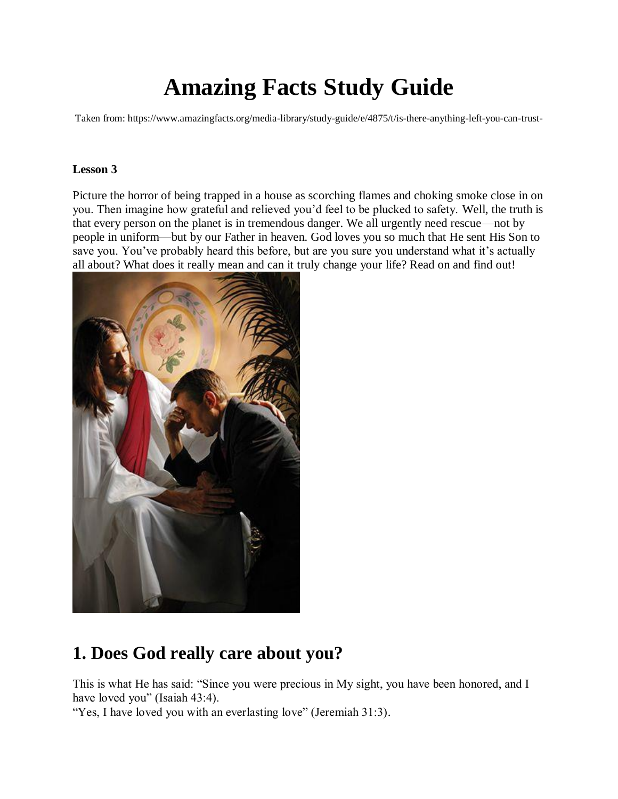# **Amazing Facts Study Guide**

Taken from: https://www.amazingfacts.org/media-library/study-guide/e/4875/t/is-there-anything-left-you-can-trust-

### **Lesson 3**

Picture the horror of being trapped in a house as scorching flames and choking smoke close in on you. Then imagine how grateful and relieved you'd feel to be plucked to safety. Well, the truth is that every person on the planet is in tremendous danger. We all urgently need rescue—not by people in uniform—but by our Father in heaven. God loves you so much that He sent His Son to save you. You've probably heard this before, but are you sure you understand what it's actually all about? What does it really mean and can it truly change your life? Read on and find out!



## **1. Does God really care about you?**

This is what He has said: "Since you were precious in My sight, you have been honored, and I have loved you" (Isaiah 43:4).

"Yes, I have loved you with an everlasting love" (Jeremiah 31:3).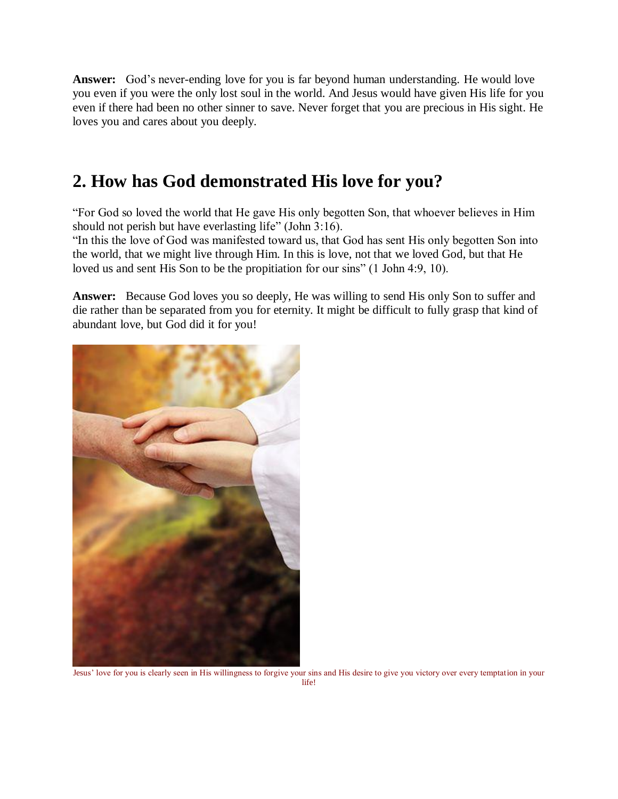**Answer:** God's never-ending love for you is far beyond human understanding. He would love you even if you were the only lost soul in the world. And Jesus would have given His life for you even if there had been no other sinner to save. Never forget that you are precious in His sight. He loves you and cares about you deeply.

## **2. How has God demonstrated His love for you?**

"For God so loved the world that He gave His only begotten Son, that whoever believes in Him should not perish but have everlasting life" (John 3:16).

"In this the love of God was manifested toward us, that God has sent His only begotten Son into the world, that we might live through Him. In this is love, not that we loved God, but that He loved us and sent His Son to be the propitiation for our sins" (1 John 4:9, 10).

**Answer:** Because God loves you so deeply, He was willing to send His only Son to suffer and die rather than be separated from you for eternity. It might be difficult to fully grasp that kind of abundant love, but God did it for you!



Jesus' love for you is clearly seen in His willingness to forgive your sins and His desire to give you victory over every temptation in your life!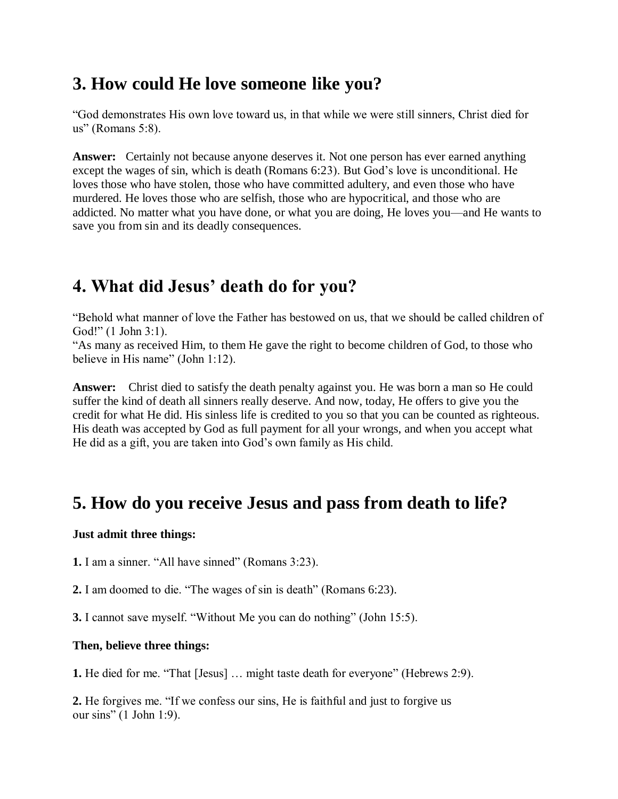## **3. How could He love someone like you?**

"God demonstrates His own love toward us, in that while we were still sinners, Christ died for us" (Romans 5:8).

**Answer:** Certainly not because anyone deserves it. Not one person has ever earned anything except the wages of sin, which is death (Romans 6:23). But God's love is unconditional. He loves those who have stolen, those who have committed adultery, and even those who have murdered. He loves those who are selfish, those who are hypocritical, and those who are addicted. No matter what you have done, or what you are doing, He loves you—and He wants to save you from sin and its deadly consequences.

## **4. What did Jesus' death do for you?**

"Behold what manner of love the Father has bestowed on us, that we should be called children of God!" (1 John 3:1).

"As many as received Him, to them He gave the right to become children of God, to those who believe in His name" (John 1:12).

**Answer:** Christ died to satisfy the death penalty against you. He was born a man so He could suffer the kind of death all sinners really deserve. And now, today, He offers to give you the credit for what He did. His sinless life is credited to you so that you can be counted as righteous. His death was accepted by God as full payment for all your wrongs, and when you accept what He did as a gift, you are taken into God's own family as His child.

## **5. How do you receive Jesus and pass from death to life?**

### **Just admit three things:**

**1.** I am a sinner. "All have sinned" (Romans 3:23).

**2.** I am doomed to die. "The wages of sin is death" (Romans 6:23).

**3.** I cannot save myself. "Without Me you can do nothing" (John 15:5).

### **Then, believe three things:**

**1.** He died for me. "That [Jesus] … might taste death for everyone" (Hebrews 2:9).

**2.** He forgives me. "If we confess our sins, He is faithful and just to forgive us our sins" (1 John 1:9).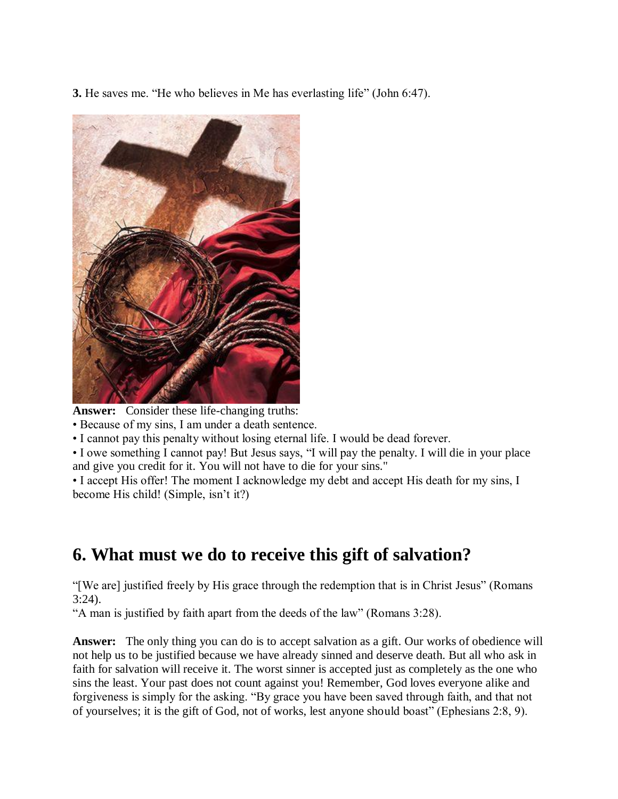**3.** He saves me. "He who believes in Me has everlasting life" (John 6:47).



**Answer:** Consider these life-changing truths:

• Because of my sins, I am under a death sentence.

• I cannot pay this penalty without losing eternal life. I would be dead forever.

• I owe something I cannot pay! But Jesus says, "I will pay the penalty. I will die in your place and give you credit for it. You will not have to die for your sins."

• I accept His offer! The moment I acknowledge my debt and accept His death for my sins, I become His child! (Simple, isn't it?)

## **6. What must we do to receive this gift of salvation?**

"[We are] justified freely by His grace through the redemption that is in Christ Jesus" (Romans 3:24).

"A man is justified by faith apart from the deeds of the law" (Romans 3:28).

**Answer:** The only thing you can do is to accept salvation as a gift. Our works of obedience will not help us to be justified because we have already sinned and deserve death. But all who ask in faith for salvation will receive it. The worst sinner is accepted just as completely as the one who sins the least. Your past does not count against you! Remember, God loves everyone alike and forgiveness is simply for the asking. "By grace you have been saved through faith, and that not of yourselves; it is the gift of God, not of works, lest anyone should boast" (Ephesians 2:8, 9).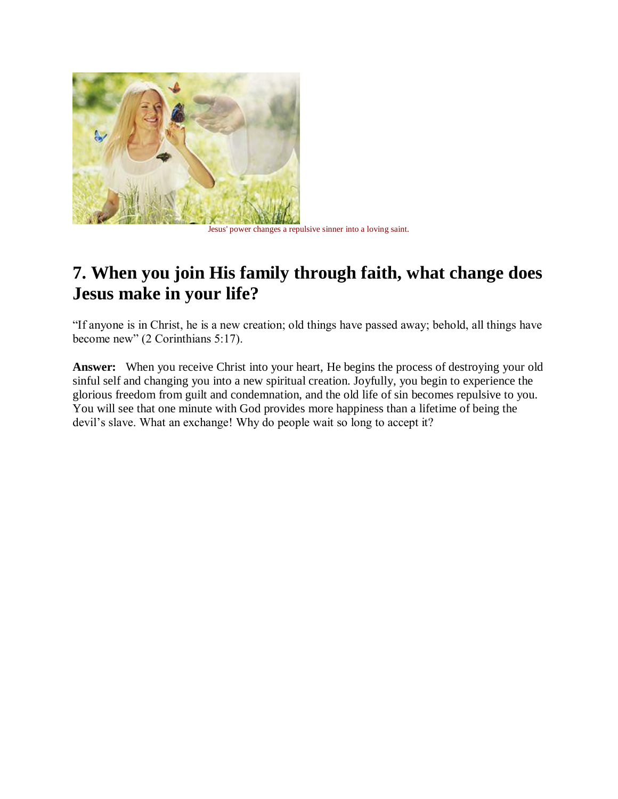

Jesus' power changes a repulsive sinner into a loving saint.

## **7. When you join His family through faith, what change does Jesus make in your life?**

"If anyone is in Christ, he is a new creation; old things have passed away; behold, all things have become new" (2 Corinthians 5:17).

Answer: When you receive Christ into your heart, He begins the process of destroying your old sinful self and changing you into a new spiritual creation. Joyfully, you begin to experience the glorious freedom from guilt and condemnation, and the old life of sin becomes repulsive to you. You will see that one minute with God provides more happiness than a lifetime of being the devil's slave. What an exchange! Why do people wait so long to accept it?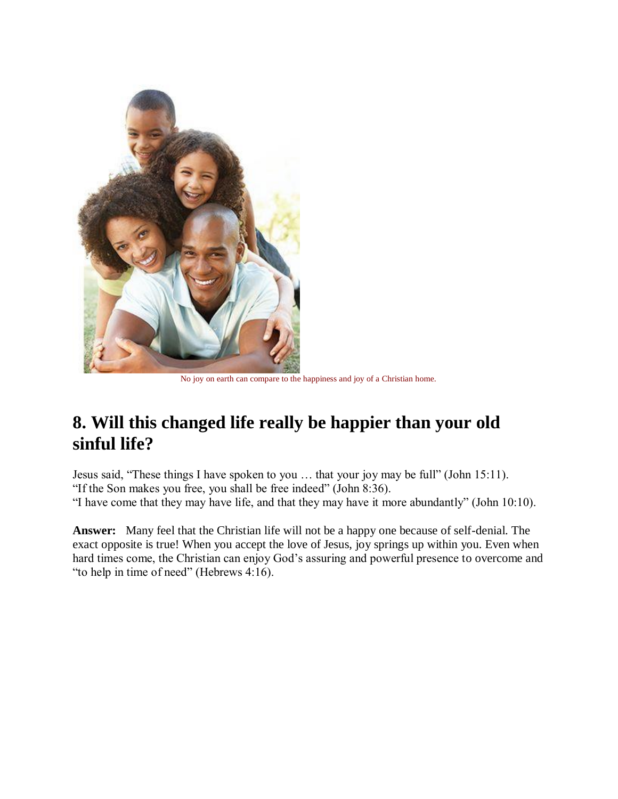

No joy on earth can compare to the happiness and joy of a Christian home.

## **8. Will this changed life really be happier than your old sinful life?**

Jesus said, "These things I have spoken to you … that your joy may be full" (John 15:11). "If the Son makes you free, you shall be free indeed" (John 8:36). "I have come that they may have life, and that they may have it more abundantly" (John 10:10).

**Answer:** Many feel that the Christian life will not be a happy one because of self-denial. The exact opposite is true! When you accept the love of Jesus, joy springs up within you. Even when hard times come, the Christian can enjoy God's assuring and powerful presence to overcome and "to help in time of need" (Hebrews 4:16).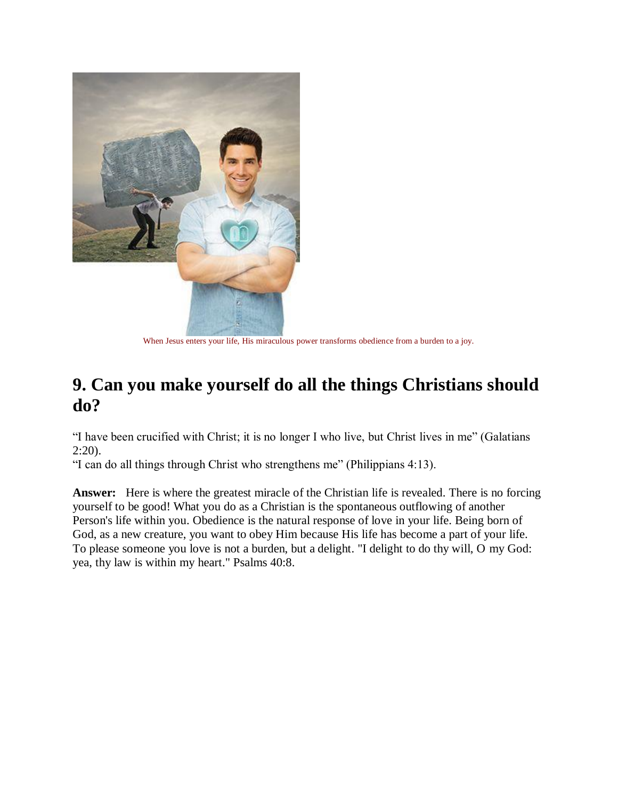

When Jesus enters your life, His miraculous power transforms obedience from a burden to a joy.

## **9. Can you make yourself do all the things Christians should do?**

"I have been crucified with Christ; it is no longer I who live, but Christ lives in me" (Galatians 2:20).

"I can do all things through Christ who strengthens me" (Philippians 4:13).

**Answer:** Here is where the greatest miracle of the Christian life is revealed. There is no forcing yourself to be good! What you do as a Christian is the spontaneous outflowing of another Person's life within you. Obedience is the natural response of love in your life. Being born of God, as a new creature, you want to obey Him because His life has become a part of your life. To please someone you love is not a burden, but a delight. "I delight to do thy will, O my God: yea, thy law is within my heart." Psalms 40:8.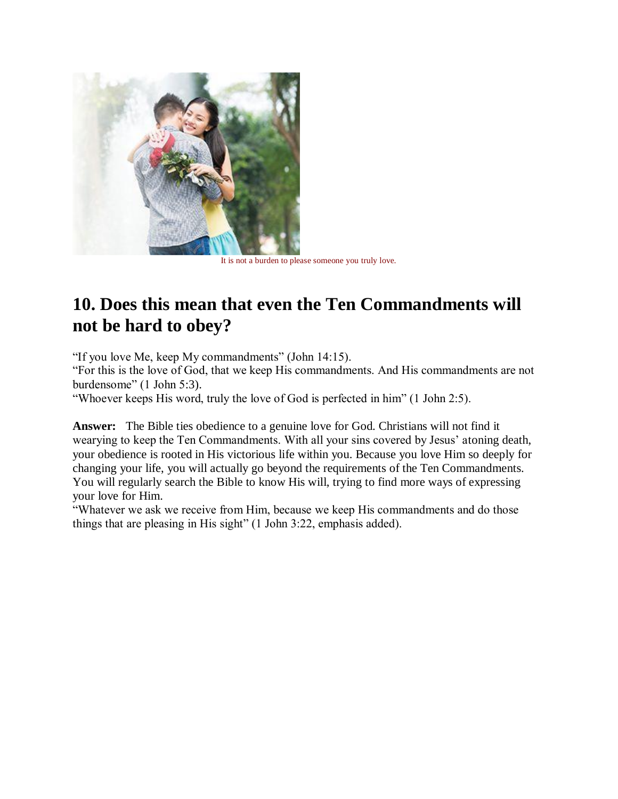

It is not a burden to please someone you truly love.

## **10. Does this mean that even the Ten Commandments will not be hard to obey?**

"If you love Me, keep My commandments" (John 14:15).

"For this is the love of God, that we keep His commandments. And His commandments are not burdensome" (1 John 5:3).

"Whoever keeps His word, truly the love of God is perfected in him" (1 John 2:5).

**Answer:** The Bible ties obedience to a genuine love for God. Christians will not find it wearying to keep the Ten Commandments. With all your sins covered by Jesus' atoning death, your obedience is rooted in His victorious life within you. Because you love Him so deeply for changing your life, you will actually go beyond the requirements of the Ten Commandments. You will regularly search the Bible to know His will, trying to find more ways of expressing your love for Him.

"Whatever we ask we receive from Him, because we keep His commandments and do those things that are pleasing in His sight" (1 John 3:22, emphasis added).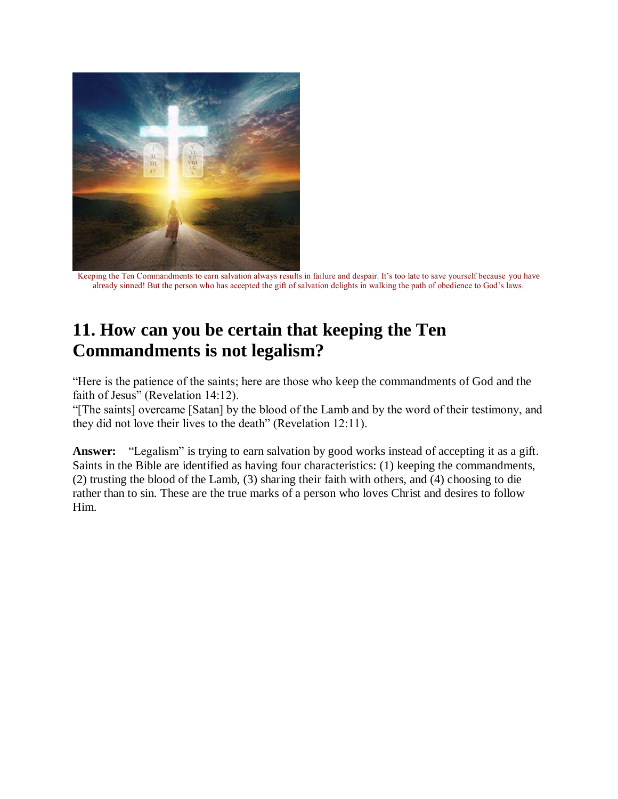

Keeping the Ten Commandments to earn salvation always results in failure and despair. It's too late to save yourself because you have already sinned! But the person who has accepted the gift of salvation delights in walking the path of obedience to God's laws.

## **11. How can you be certain that keeping the Ten Commandments is not legalism?**

"Here is the patience of the saints; here are those who keep the commandments of God and the faith of Jesus" (Revelation 14:12).

"[The saints] overcame [Satan] by the blood of the Lamb and by the word of their testimony, and they did not love their lives to the death" (Revelation 12:11).

**Answer:** "Legalism" is trying to earn salvation by good works instead of accepting it as a gift. Saints in the Bible are identified as having four characteristics: (1) keeping the commandments, (2) trusting the blood of the Lamb, (3) sharing their faith with others, and (4) choosing to die rather than to sin. These are the true marks of a person who loves Christ and desires to follow Him.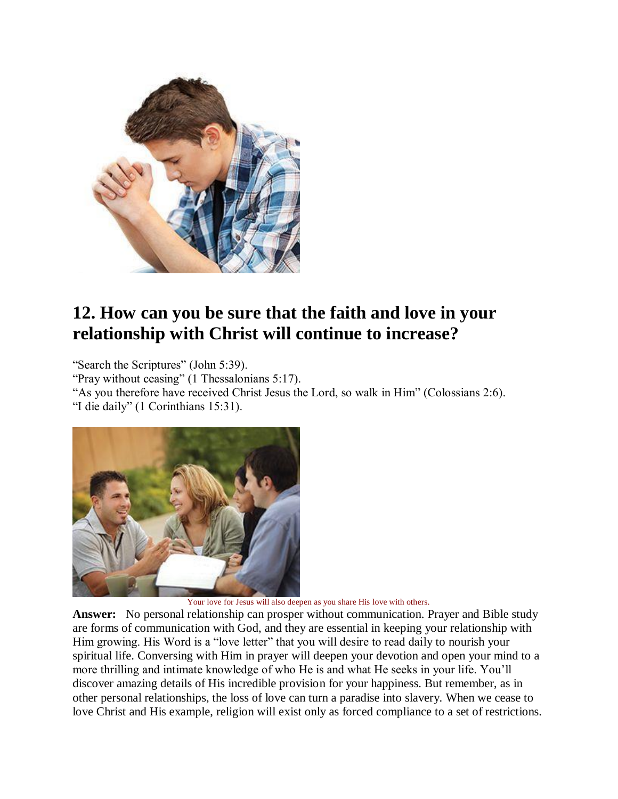

## **12. How can you be sure that the faith and love in your relationship with Christ will continue to increase?**

"Search the Scriptures" (John 5:39).

"Pray without ceasing" (1 Thessalonians 5:17).

"As you therefore have received Christ Jesus the Lord, so walk in Him" (Colossians 2:6). "I die daily" (1 Corinthians 15:31).



Your love for Jesus will also deepen as you share His love with others.

**Answer:** No personal relationship can prosper without communication. Prayer and Bible study are forms of communication with God, and they are essential in keeping your relationship with Him growing. His Word is a "love letter" that you will desire to read daily to nourish your spiritual life. Conversing with Him in prayer will deepen your devotion and open your mind to a more thrilling and intimate knowledge of who He is and what He seeks in your life. You'll discover amazing details of His incredible provision for your happiness. But remember, as in other personal relationships, the loss of love can turn a paradise into slavery. When we cease to love Christ and His example, religion will exist only as forced compliance to a set of restrictions.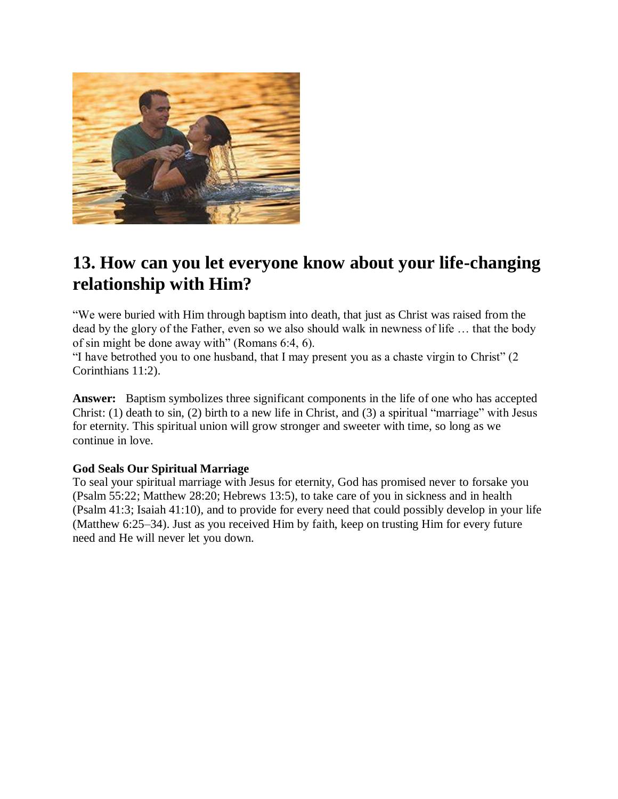

## **13. How can you let everyone know about your life-changing relationship with Him?**

"We were buried with Him through baptism into death, that just as Christ was raised from the dead by the glory of the Father, even so we also should walk in newness of life … that the body of sin might be done away with" (Romans 6:4, 6).

"I have betrothed you to one husband, that I may present you as a chaste virgin to Christ" (2 Corinthians 11:2).

**Answer:** Baptism symbolizes three significant components in the life of one who has accepted Christ: (1) death to sin, (2) birth to a new life in Christ, and (3) a spiritual "marriage" with Jesus for eternity. This spiritual union will grow stronger and sweeter with time, so long as we continue in love.

### **God Seals Our Spiritual Marriage**

To seal your spiritual marriage with Jesus for eternity, God has promised never to forsake you (Psalm 55:22; Matthew 28:20; Hebrews 13:5), to take care of you in sickness and in health (Psalm 41:3; Isaiah 41:10), and to provide for every need that could possibly develop in your life (Matthew 6:25–34). Just as you received Him by faith, keep on trusting Him for every future need and He will never let you down.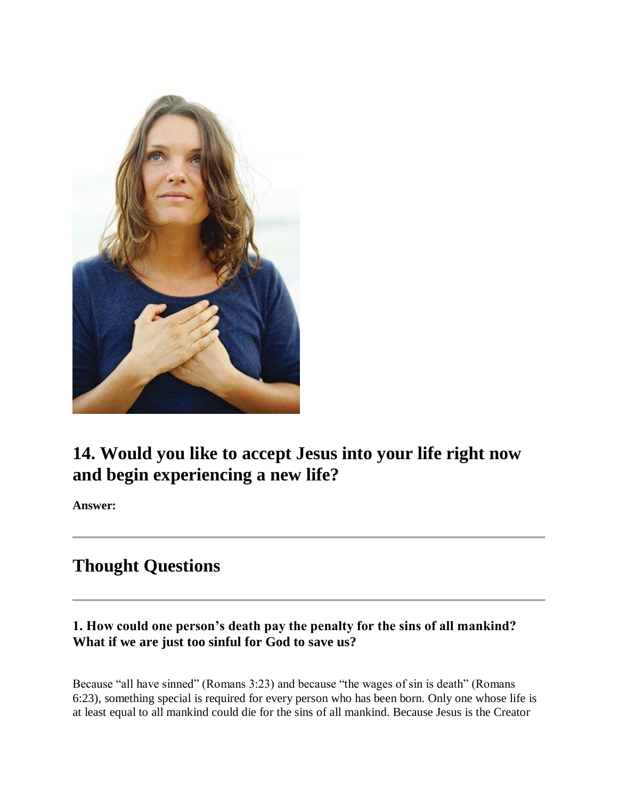

## **14. Would you like to accept Jesus into your life right now and begin experiencing a new life?**

**Answer:**

## **Thought Questions**

### **1. How could one person's death pay the penalty for the sins of all mankind? What if we are just too sinful for God to save us?**

Because "all have sinned" (Romans 3:23) and because "the wages of sin is death" (Romans 6:23), something special is required for every person who has been born. Only one whose life is at least equal to all mankind could die for the sins of all mankind. Because Jesus is the Creator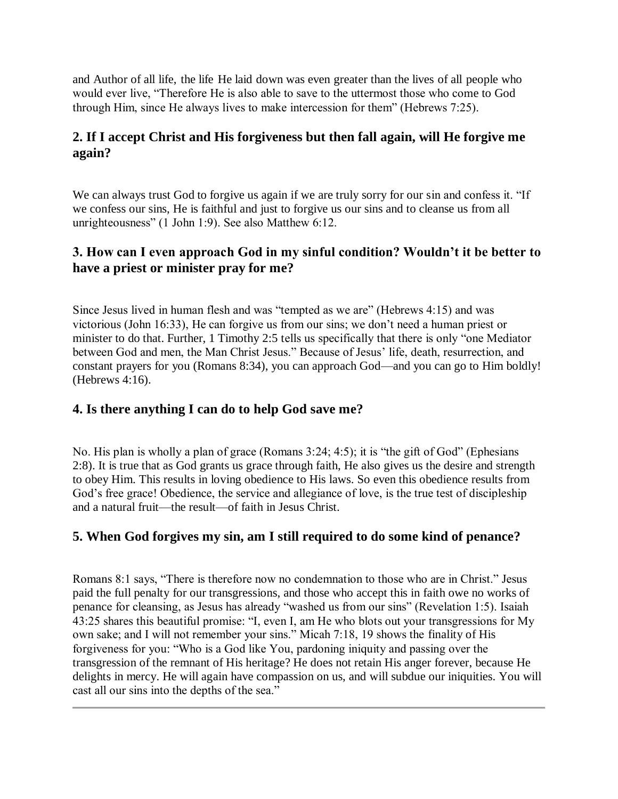and Author of all life, the life He laid down was even greater than the lives of all people who would ever live, "Therefore He is also able to save to the uttermost those who come to God through Him, since He always lives to make intercession for them" (Hebrews 7:25).

## **2. If I accept Christ and His forgiveness but then fall again, will He forgive me again?**

We can always trust God to forgive us again if we are truly sorry for our sin and confess it. "If we confess our sins, He is faithful and just to forgive us our sins and to cleanse us from all unrighteousness" (1 John 1:9). See also Matthew 6:12.

### **3. How can I even approach God in my sinful condition? Wouldn't it be better to have a priest or minister pray for me?**

Since Jesus lived in human flesh and was "tempted as we are" (Hebrews 4:15) and was victorious (John 16:33), He can forgive us from our sins; we don't need a human priest or minister to do that. Further, 1 Timothy 2:5 tells us specifically that there is only "one Mediator between God and men, the Man Christ Jesus." Because of Jesus' life, death, resurrection, and constant prayers for you (Romans 8:34), you can approach God—and you can go to Him boldly! (Hebrews 4:16).

### **4. Is there anything I can do to help God save me?**

No. His plan is wholly a plan of grace (Romans 3:24; 4:5); it is "the gift of God" (Ephesians 2:8). It is true that as God grants us grace through faith, He also gives us the desire and strength to obey Him. This results in loving obedience to His laws. So even this obedience results from God's free grace! Obedience, the service and allegiance of love, is the true test of discipleship and a natural fruit—the result—of faith in Jesus Christ.

### **5. When God forgives my sin, am I still required to do some kind of penance?**

Romans 8:1 says, "There is therefore now no condemnation to those who are in Christ." Jesus paid the full penalty for our transgressions, and those who accept this in faith owe no works of penance for cleansing, as Jesus has already "washed us from our sins" (Revelation 1:5). Isaiah 43:25 shares this beautiful promise: "I, even I, am He who blots out your transgressions for My own sake; and I will not remember your sins." Micah 7:18, 19 shows the finality of His forgiveness for you: "Who is a God like You, pardoning iniquity and passing over the transgression of the remnant of His heritage? He does not retain His anger forever, because He delights in mercy. He will again have compassion on us, and will subdue our iniquities. You will cast all our sins into the depths of the sea."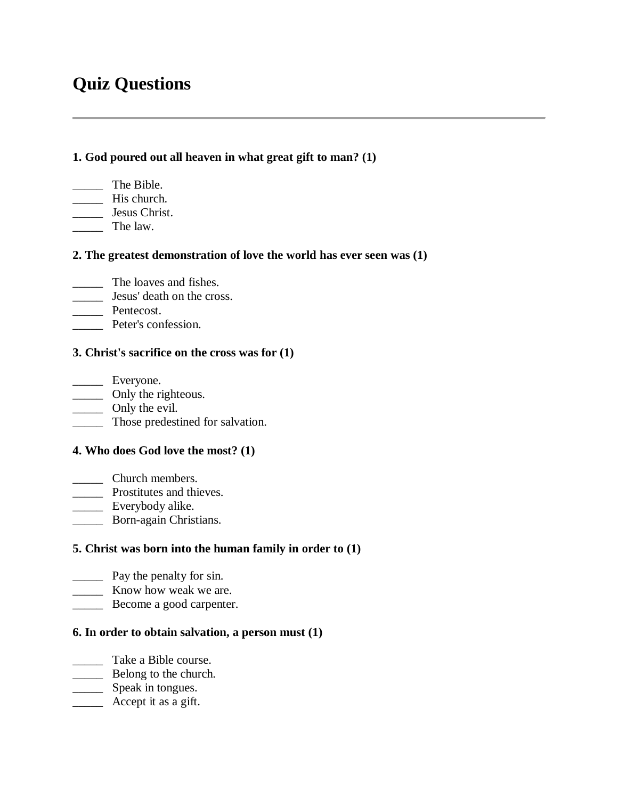## **Quiz Questions**

#### **1. God poured out all heaven in what great gift to man? (1)**

- \_\_\_\_\_ The Bible.
- \_\_\_\_\_ His church.
- \_\_\_\_\_ Jesus Christ.
- \_\_\_\_\_ The law.

### **2. The greatest demonstration of love the world has ever seen was (1)**

- \_\_\_\_\_ The loaves and fishes.
- **Lesus'** death on the cross.
- \_\_\_\_\_ Pentecost.
- **EXECUTE:** Peter's confession.

#### **3. Christ's sacrifice on the cross was for (1)**

\_\_\_\_\_ Everyone. \_\_\_\_\_ Only the righteous. \_\_\_\_\_ Only the evil.

\_\_\_\_\_ Those predestined for salvation.

### **4. Who does God love the most? (1)**

- \_\_\_\_\_ Church members.
- \_\_\_\_\_ Prostitutes and thieves.
- \_\_\_\_\_ Everybody alike.
- \_\_\_\_\_ Born-again Christians.

### **5. Christ was born into the human family in order to (1)**

- \_\_\_\_\_ Pay the penalty for sin.
- **EXECUTE:** Know how weak we are.
- **EXECOME A good carpenter.**

### **6. In order to obtain salvation, a person must (1)**

- \_\_\_\_\_ Take a Bible course.
- **Example 1** Belong to the church.
- Speak in tongues.
- \_\_\_\_\_ Accept it as a gift.